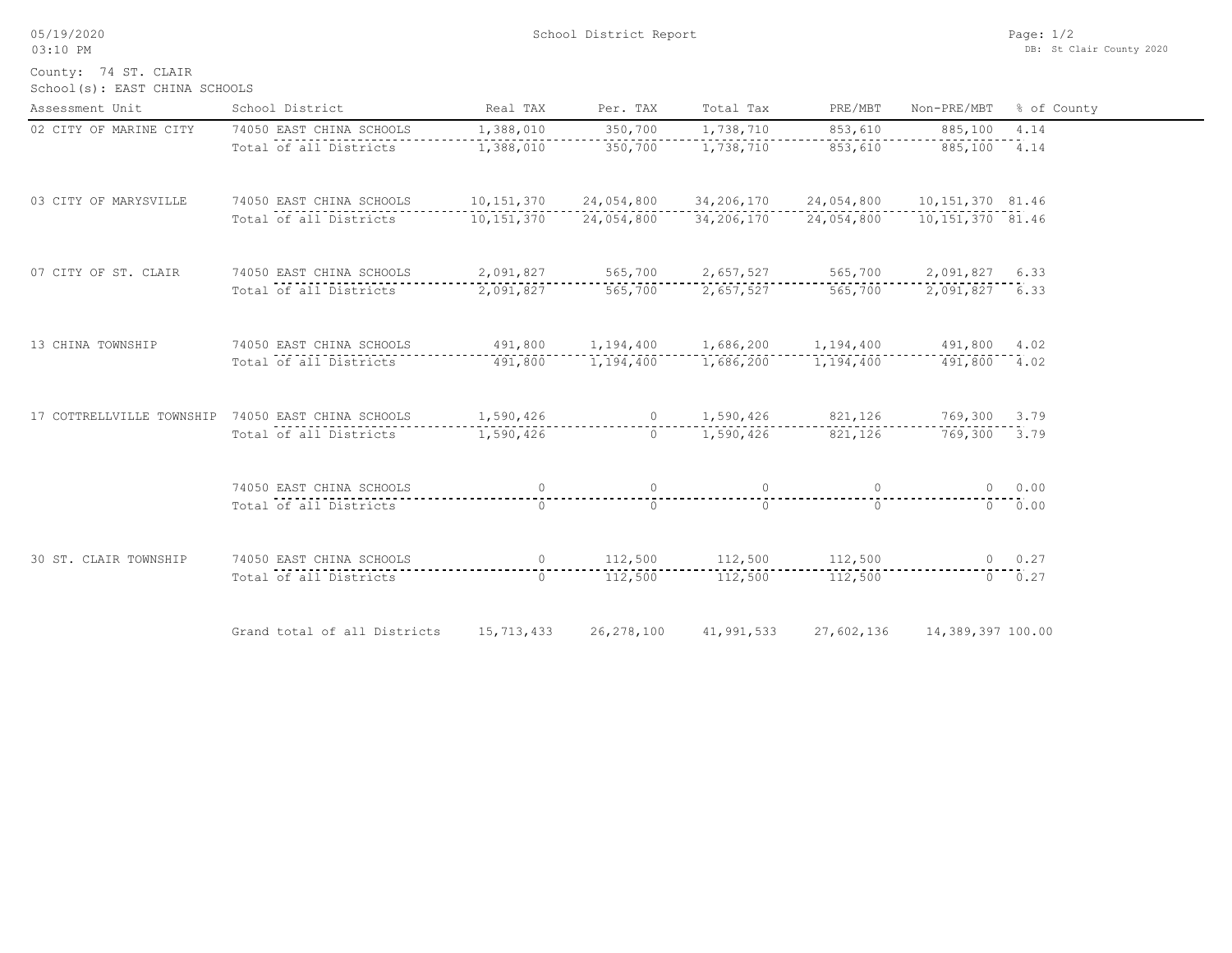05/19/2020

03:10 PM

School(s): EAST CHINA SCHOOLS County: 74 ST. CLAIR

| Assessment Unit        | School District                                                                               | Real TAX  | Per. TAX                                                       | Total Tax               | PRE/MBT                        | Non-PRE/MBT                  | % of County |
|------------------------|-----------------------------------------------------------------------------------------------|-----------|----------------------------------------------------------------|-------------------------|--------------------------------|------------------------------|-------------|
| 02 CITY OF MARINE CITY | 74050 EAST CHINA SCHOOLS                                                                      | 1,388,010 | 350,700                                                        | 1,738,710 853,610       |                                | 885,100                      | 4.14        |
|                        | Total of all Districts                                                                        | 1,388,010 | 350,700                                                        |                         | 1,738,710 853,610 885,100 4.14 |                              |             |
| 03 CITY OF MARYSVILLE  | 74050 EAST CHINA SCHOOLS 10,151,370 24,054,800 34,206,170 24,054,800 10,151,370 81.46         |           |                                                                |                         |                                |                              |             |
|                        | Total of all Districts 10,151,370 24,054,800                                                  |           |                                                                |                         | 34,206,170 24,054,800          | 10,151,370 81.46             |             |
| 07 CITY OF ST. CLAIR   | 74050 EAST CHINA SCHOOLS 2,091,827 565,700 2,657,527 565,700 2,091,827 6.33                   |           |                                                                |                         |                                |                              |             |
|                        | Total of all Districts 2,091,827 565,700 2,657,527 565,700 2,091,827 6.33                     |           |                                                                |                         |                                |                              |             |
| 13 CHINA TOWNSHIP      | 74050 EAST CHINA SCHOOLS                                                                      |           | $491,800$ $1,194,400$ $1,686,200$ $1,194,400$ $491,800$ $4.02$ |                         |                                |                              |             |
|                        | Total of all Districts                                                                        |           | 491,800 1,194,400 1,686,200 1,194,400 491,800 4.02             |                         |                                |                              |             |
|                        | 17 COTTRELLVILLE TOWNSHIP 74050 EAST CHINA SCHOOLS 1,590,426 0 1,590,426 821,126 769,300 3.79 |           |                                                                |                         |                                |                              |             |
|                        | Total of all Districts                                                                        |           | 1,590,426  0 1,590,426  821,126  769,300  3.79                 |                         |                                |                              |             |
|                        | 74050 EAST CHINA SCHOOLS                                                                      |           |                                                                |                         | $\overline{0}$                 |                              | 0 0.00      |
|                        | Total of all Districts                                                                        | $\cap$    | $\Omega$                                                       | $\cap$                  | $\cap$                         |                              | 0 0.00      |
| 30 ST. CLAIR TOWNSHIP  | 74050 EAST CHINA SCHOOLS                                                                      |           | $0 \qquad 112,500 \qquad 112,500 \qquad 112,500$               |                         |                                | 0.27                         |             |
|                        | Total of all Districts                                                                        | $\cap$    |                                                                | 112,500 112,500 112,500 |                                |                              | $0 \t 0.27$ |
|                        | Grand total of all Districts 15,713,433                                                       |           | 26,278,100                                                     | 41,991,533              |                                | 27,602,136 14,389,397 100.00 |             |